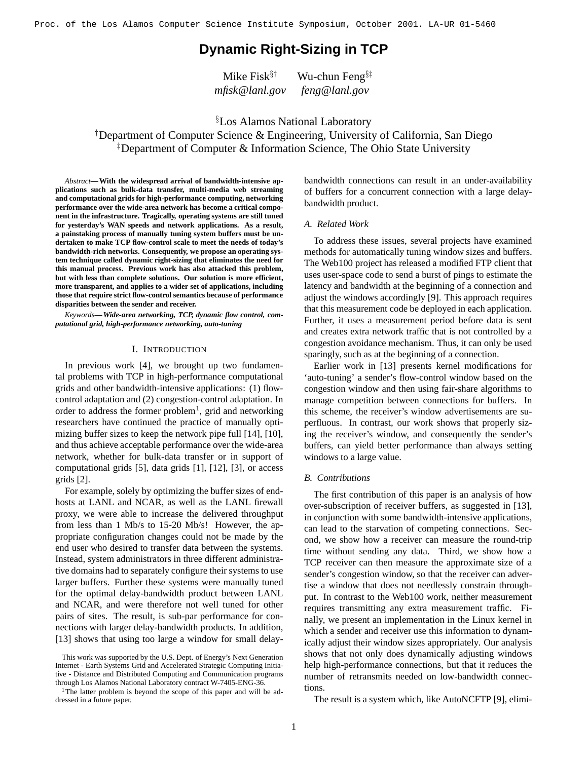# **Dynamic Right-Sizing in TCP**

Mike Fisk $§^{\dagger}$  Wu-chun Feng $§^{\dagger}$ *mfisk@lanl.gov feng@lanl.gov*

§Los Alamos National Laboratory †Department of Computer Science & Engineering, University of California, San Diego ‡Department of Computer & Information Science, The Ohio State University

*Abstract***—With the widespread arrival of bandwidth-intensive applications such as bulk-data transfer, multi-media web streaming and computational grids for high-performance computing, networking performance over the wide-area network has become a critical component in the infrastructure. Tragically, operating systems are still tuned for yesterday's WAN speeds and network applications. As a result, a painstaking process of manually tuning system buffers must be undertaken to make TCP flow-control scale to meet the needs of today's bandwidth-rich networks. Consequently, we propose an operating system technique called dynamic right-sizing that eliminates the need for this manual process. Previous work has also attacked this problem, but with less than complete solutions. Our solution is more efficient, more transparent, and applies to a wider set of applications, including those that require strict flow-control semantics because of performance disparities between the sender and receiver.**

*Keywords***—***Wide-area networking, TCP, dynamic flow control, computational grid, high-performance networking, auto-tuning*

#### I. INTRODUCTION

In previous work [4], we brought up two fundamental problems with TCP in high-performance computational grids and other bandwidth-intensive applications: (1) flowcontrol adaptation and (2) congestion-control adaptation. In order to address the former problem<sup>1</sup>, grid and networking researchers have continued the practice of manually optimizing buffer sizes to keep the network pipe full [14], [10], and thus achieve acceptable performance over the wide-area network, whether for bulk-data transfer or in support of computational grids [5], data grids [1], [12], [3], or access grids [2].

For example, solely by optimizing the buffer sizes of endhosts at LANL and NCAR, as well as the LANL firewall proxy, we were able to increase the delivered throughput from less than 1 Mb/s to 15-20 Mb/s! However, the appropriate configuration changes could not be made by the end user who desired to transfer data between the systems. Instead, system administrators in three different administrative domains had to separately configure their systems to use larger buffers. Further these systems were manually tuned for the optimal delay-bandwidth product between LANL and NCAR, and were therefore not well tuned for other pairs of sites. The result, is sub-par performance for connections with larger delay-bandwidth products. In addition, [13] shows that using too large a window for small delaybandwidth connections can result in an under-availability of buffers for a concurrent connection with a large delaybandwidth product.

#### *A. Related Work*

To address these issues, several projects have examined methods for automatically tuning window sizes and buffers. The Web100 project has released a modified FTP client that uses user-space code to send a burst of pings to estimate the latency and bandwidth at the beginning of a connection and adjust the windows accordingly [9]. This approach requires that this measurement code be deployed in each application. Further, it uses a measurement period before data is sent and creates extra network traffic that is not controlled by a congestion avoidance mechanism. Thus, it can only be used sparingly, such as at the beginning of a connection.

Earlier work in [13] presents kernel modifications for 'auto-tuning' a sender's flow-control window based on the congestion window and then using fair-share algorithms to manage competition between connections for buffers. In this scheme, the receiver's window advertisements are superfluous. In contrast, our work shows that properly sizing the receiver's window, and consequently the sender's buffers, can yield better performance than always setting windows to a large value.

#### *B. Contributions*

The first contribution of this paper is an analysis of how over-subscription of receiver buffers, as suggested in [13], in conjunction with some bandwidth-intensive applications, can lead to the starvation of competing connections. Second, we show how a receiver can measure the round-trip time without sending any data. Third, we show how a TCP receiver can then measure the approximate size of a sender's congestion window, so that the receiver can advertise a window that does not needlessly constrain throughput. In contrast to the Web100 work, neither measurement requires transmitting any extra measurement traffic. Finally, we present an implementation in the Linux kernel in which a sender and receiver use this information to dynamically adjust their window sizes appropriately. Our analysis shows that not only does dynamically adjusting windows help high-performance connections, but that it reduces the number of retransmits needed on low-bandwidth connections.

The result is a system which, like AutoNCFTP [9], elimi-

This work was supported by the U.S. Dept. of Energy's Next Generation Internet - Earth Systems Grid and Accelerated Strategic Computing Initiative - Distance and Distributed Computing and Communication programs through Los Alamos National Laboratory contract W-7405-ENG-36.

<sup>&</sup>lt;sup>1</sup>The latter problem is beyond the scope of this paper and will be addressed in a future paper.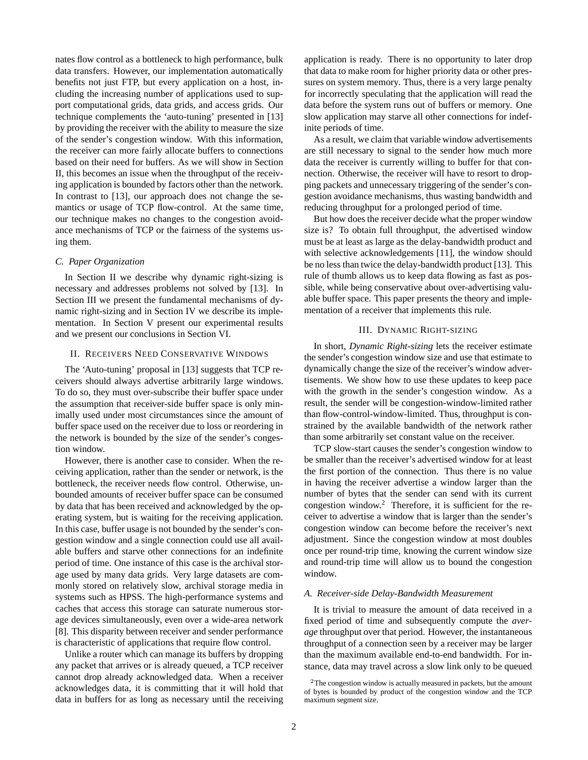nates flow control as a bottleneck to high performance, bulk data transfers. However, our implementation automatically benefits not just FTP, but every application on a host, including the increasing number of applications used to support computational grids, data grids, and access grids. Our technique complements the 'auto-tuning' presented in [13] by providing the receiver with the ability to measure the size of the sender's congestion window. With this information, the receiver can more fairly allocate buffers to connections based on their need for buffers. As we will show in Section II, this becomes an issue when the throughput of the receiving application is bounded by factors other than the network. In contrast to [13], our approach does not change the semantics or usage of TCP flow-control. At the same time, our technique makes no changes to the congestion avoidance mechanisms of TCP or the fairness of the systems using them.

# *C. Paper Organization*

In Section II we describe why dynamic right-sizing is necessary and addresses problems not solved by [13]. In Section III we present the fundamental mechanisms of dynamic right-sizing and in Section IV we describe its implementation. In Section V present our experimental results and we present our conclusions in Section VI.

## II. RECEIVERS NEED CONSERVATIVE WINDOWS

The 'Auto-tuning' proposal in [13] suggests that TCP receivers should always advertise arbitrarily large windows. To do so, they must over-subscribe their buffer space under the assumption that receiver-side buffer space is only minimally used under most circumstances since the amount of buffer space used on the receiver due to loss or reordering in the network is bounded by the size of the sender's congestion window.

However, there is another case to consider. When the receiving application, rather than the sender or network, is the bottleneck, the receiver needs flow control. Otherwise, unbounded amounts of receiver buffer space can be consumed by data that has been received and acknowledged by the operating system, but is waiting for the receiving application. In this case, buffer usage is not bounded by the sender's congestion window and a single connection could use all available buffers and starve other connections for an indefinite period of time. One instance of this case is the archival storage used by many data grids. Very large datasets are commonly stored on relatively slow, archival storage media in systems such as HPSS. The high-performance systems and caches that access this storage can saturate numerous storage devices simultaneously, even over a wide-area network [8]. This disparity between receiver and sender performance is characteristic of applications that require flow control.

Unlike a router which can manage its buffers by dropping any packet that arrives or is already queued, a TCP receiver cannot drop already acknowledged data. When a receiver acknowledges data, it is committing that it will hold that data in buffers for as long as necessary until the receiving application is ready. There is no opportunity to later drop that data to make room for higher priority data or other pressures on system memory. Thus, there is a very large penalty for incorrectly speculating that the application will read the data before the system runs out of buffers or memory. One slow application may starve all other connections for indefinite periods of time.

As a result, we claim that variable window advertisements are still necessary to signal to the sender how much more data the receiver is currently willing to buffer for that connection. Otherwise, the receiver will have to resort to dropping packets and unnecessary triggering of the sender's congestion avoidance mechanisms, thus wasting bandwidth and reducing throughput for a prolonged period of time.

But how does the receiver decide what the proper window size is? To obtain full throughput, the advertised window must be at least as large as the delay-bandwidth product and with selective acknowledgements [11], the window should be no less than twice the delay-bandwidth product [13]. This rule of thumb allows us to keep data flowing as fast as possible, while being conservative about over-advertising valuable buffer space. This paper presents the theory and implementation of a receiver that implements this rule.

## III. DYNAMIC RIGHT-SIZING

In short, *Dynamic Right-sizing* lets the receiver estimate the sender's congestion window size and use that estimate to dynamically change the size of the receiver's window advertisements. We show how to use these updates to keep pace with the growth in the sender's congestion window. As a result, the sender will be congestion-window-limited rather than flow-control-window-limited. Thus, throughput is constrained by the available bandwidth of the network rather than some arbitrarily set constant value on the receiver.

TCP slow-start causes the sender's congestion window to be smaller than the receiver's advertised window for at least the first portion of the connection. Thus there is no value in having the receiver advertise a window larger than the number of bytes that the sender can send with its current congestion window. <sup>2</sup> Therefore, it is sufficient for the receiver to advertise a window that is larger than the sender's congestion window can become before the receiver's next adjustment. Since the congestion window at most doubles once per round-trip time, knowing the current window size and round-trip time will allow us to bound the congestion window.

## *A. Receiver-side Delay-Bandwidth Measurement*

It is trivial to measure the amount of data received in a fixed period of time and subsequently compute the *average* throughput over that period. However, the instantaneous throughput of a connection seen by a receiver may be larger than the maximum available end-to-end bandwidth. For instance, data may travel across a slow link only to be queued

<sup>2</sup>The congestion window is actually measured in packets, but the amount of bytes is bounded by product of the congestion window and the TCP maximum segment size.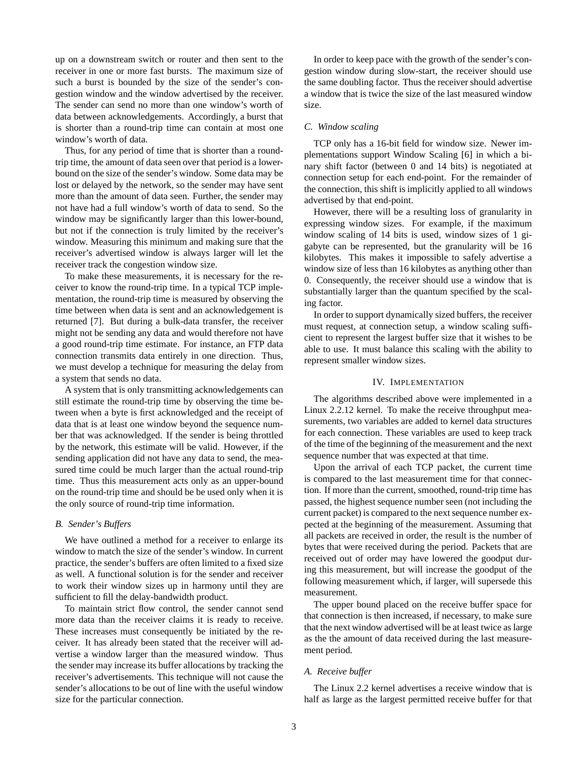up on a downstream switch or router and then sent to the receiver in one or more fast bursts. The maximum size of such a burst is bounded by the size of the sender's congestion window and the window advertised by the receiver. The sender can send no more than one window's worth of data between acknowledgements. Accordingly, a burst that is shorter than a round-trip time can contain at most one window's worth of data.

Thus, for any period of time that is shorter than a roundtrip time, the amount of data seen over that period is a lowerbound on the size of the sender's window. Some data may be lost or delayed by the network, so the sender may have sent more than the amount of data seen. Further, the sender may not have had a full window's worth of data to send. So the window may be significantly larger than this lower-bound, but not if the connection is truly limited by the receiver's window. Measuring this minimum and making sure that the receiver's advertised window is always larger will let the receiver track the congestion window size.

To make these measurements, it is necessary for the receiver to know the round-trip time. In a typical TCP implementation, the round-trip time is measured by observing the time between when data is sent and an acknowledgement is returned [7]. But during a bulk-data transfer, the receiver might not be sending any data and would therefore not have a good round-trip time estimate. For instance, an FTP data connection transmits data entirely in one direction. Thus, we must develop a technique for measuring the delay from a system that sends no data.

A system that is only transmitting acknowledgements can still estimate the round-trip time by observing the time between when a byte is first acknowledged and the receipt of data that is at least one window beyond the sequence number that was acknowledged. If the sender is being throttled by the network, this estimate will be valid. However, if the sending application did not have any data to send, the measured time could be much larger than the actual round-trip time. Thus this measurement acts only as an upper-bound on the round-trip time and should be be used only when it is the only source of round-trip time information.

#### *B. Sender's Buffers*

We have outlined a method for a receiver to enlarge its window to match the size of the sender's window. In current practice, the sender's buffers are often limited to a fixed size as well. A functional solution is for the sender and receiver to work their window sizes up in harmony until they are sufficient to fill the delay-bandwidth product.

To maintain strict flow control, the sender cannot send more data than the receiver claims it is ready to receive. These increases must consequently be initiated by the receiver. It has already been stated that the receiver will advertise a window larger than the measured window. Thus the sender may increase its buffer allocations by tracking the receiver's advertisements. This technique will not cause the sender's allocations to be out of line with the useful window size for the particular connection.

In order to keep pace with the growth of the sender's congestion window during slow-start, the receiver should use the same doubling factor. Thus the receiver should advertise a window that is twice the size of the last measured window size.

## *C. Window scaling*

TCP only has a 16-bit field for window size. Newer implementations support Window Scaling [6] in which a binary shift factor (between 0 and 14 bits) is negotiated at connection setup for each end-point. For the remainder of the connection, this shift is implicitly applied to all windows advertised by that end-point.

However, there will be a resulting loss of granularity in expressing window sizes. For example, if the maximum window scaling of 14 bits is used, window sizes of 1 gigabyte can be represented, but the granularity will be 16 kilobytes. This makes it impossible to safely advertise a window size of less than 16 kilobytes as anything other than 0. Consequently, the receiver should use a window that is substantially larger than the quantum specified by the scaling factor.

In order to support dynamically sized buffers, the receiver must request, at connection setup, a window scaling sufficient to represent the largest buffer size that it wishes to be able to use. It must balance this scaling with the ability to represent smaller window sizes.

#### IV. IMPLEMENTATION

The algorithms described above were implemented in a Linux 2.2.12 kernel. To make the receive throughput measurements, two variables are added to kernel data structures for each connection. These variables are used to keep track of the time of the beginning of the measurement and the next sequence number that was expected at that time.

Upon the arrival of each TCP packet, the current time is compared to the last measurement time for that connection. If more than the current, smoothed, round-trip time has passed, the highest sequence number seen (not including the current packet) is compared to the next sequence number expected at the beginning of the measurement. Assuming that all packets are received in order, the result is the number of bytes that were received during the period. Packets that are received out of order may have lowered the goodput during this measurement, but will increase the goodput of the following measurement which, if larger, will supersede this measurement.

The upper bound placed on the receive buffer space for that connection is then increased, if necessary, to make sure that the next window advertised will be at least twice aslarge as the the amount of data received during the last measurement period.

## *A. Receive buffer*

The Linux 2.2 kernel advertises a receive window that is half as large as the largest permitted receive buffer for that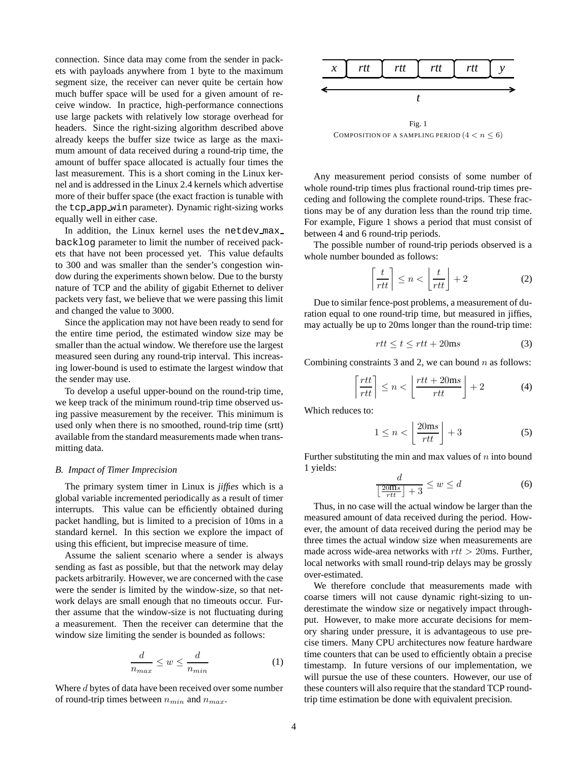connection. Since data may come from the sender in packets with payloads anywhere from 1 byte to the maximum segment size, the receiver can never quite be certain how much buffer space will be used for a given amount of receive window. In practice, high-performance connections use large packets with relatively low storage overhead for headers. Since the right-sizing algorithm described above already keeps the buffer size twice as large as the maximum amount of data received during a round-trip time, the amount of buffer space allocated is actually four times the last measurement. This is a short coming in the Linux kernel and is addressed in the Linux 2.4 kernels which advertise more of their buffer space (the exact fraction is tunable with the tcp app win parameter). Dynamic right-sizing works equally well in either case.

In addition, the Linux kernel uses the netdev max backlog parameter to limit the number of received packets that have not been processed yet. This value defaults to 300 and was smaller than the sender's congestion window during the experiments shown below. Due to the bursty nature of TCP and the ability of gigabit Ethernet to deliver packets very fast, we believe that we were passing this limit and changed the value to 3000.

Since the application may not have been ready to send for the entire time period, the estimated window size may be smaller than the actual window. We therefore use the largest measured seen during any round-trip interval. This increasing lower-bound is used to estimate the largest window that the sender may use.

To develop a useful upper-bound on the round-trip time, we keep track of the minimum round-trip time observed using passive measurement by the receiver. This minimum is used only when there is no smoothed, round-trip time (srtt) available from the standard measurements made when transmitting data.

## *B. Impact of Timer Imprecision*

The primary system timer in Linux is *jiffies* which is a global variable incremented periodically as a result of timer interrupts. This value can be efficiently obtained during packet handling, but is limited to a precision of 10ms in a standard kernel. In this section we explore the impact of using this efficient, but imprecise measure of time.

Assume the salient scenario where a sender is always sending as fast as possible, but that the network may delay packets arbitrarily. However, we are concerned with the case were the sender is limited by the window-size, so that network delays are small enough that no timeouts occur. Further assume that the window-size is not fluctuating during a measurement. Then the receiver can determine that the window size limiting the sender is bounded as follows:

$$
\frac{d}{n_{max}} \le w \le \frac{d}{n_{min}} \tag{1}
$$

Where d bytes of data have been received over some number of round-trip times between  $n_{min}$  and  $n_{max}$ .



COMPOSITION OF A SAMPLING PERIOD  $(4 < n \leq 6)$ 

Any measurement period consists of some number of whole round-trip times plus fractional round-trip times preceding and following the complete round-trips. These fractions may be of any duration less than the round trip time. For example, Figure 1 shows a period that must consist of between 4 and 6 round-trip periods.

The possible number of round-trip periods observed is a whole number bounded as follows:

$$
\left\lceil \frac{t}{rtt} \right\rceil \le n < \left\lfloor \frac{t}{rtt} \right\rfloor + 2 \tag{2}
$$

Due to similar fence-post problems, a measurement of duration equal to one round-trip time, but measured in jiffies, may actually be up to 20ms longer than the round-trip time:

$$
rtt \le t \le rtt + 20\text{ms} \tag{3}
$$

Combining constraints 3 and 2, we can bound  $n$  as follows:

$$
\left\lceil \frac{rtt}{rtt} \right\rceil \le n < \left\lfloor \frac{rtt + 20\,\text{ms}}{rtt} \right\rfloor + 2\tag{4}
$$

Which reduces to:

$$
1 \le n < \left\lfloor \frac{20\,\text{ms}}{rtt} \right\rfloor + 3\tag{5}
$$

Further substituting the min and max values of  $n$  into bound 1 yields:

$$
\frac{d}{\left\lfloor \frac{20\text{m}\text{s}}{rtt} \right\rfloor + 3} \le w \le d \tag{6}
$$

Thus, in no case will the actual window be larger than the measured amount of data received during the period. However, the amount of data received during the period may be three times the actual window size when measurements are made across wide-area networks with  $rtt > 20$ ms. Further, local networks with small round-trip delays may be grossly over-estimated.

We therefore conclude that measurements made with coarse timers will not cause dynamic right-sizing to underestimate the window size or negatively impact throughput. However, to make more accurate decisions for memory sharing under pressure, it is advantageous to use precise timers. Many CPU architectures now feature hardware time counters that can be used to efficiently obtain a precise timestamp. In future versions of our implementation, we will pursue the use of these counters. However, our use of these counters will also require that the standard TCP roundtrip time estimation be done with equivalent precision.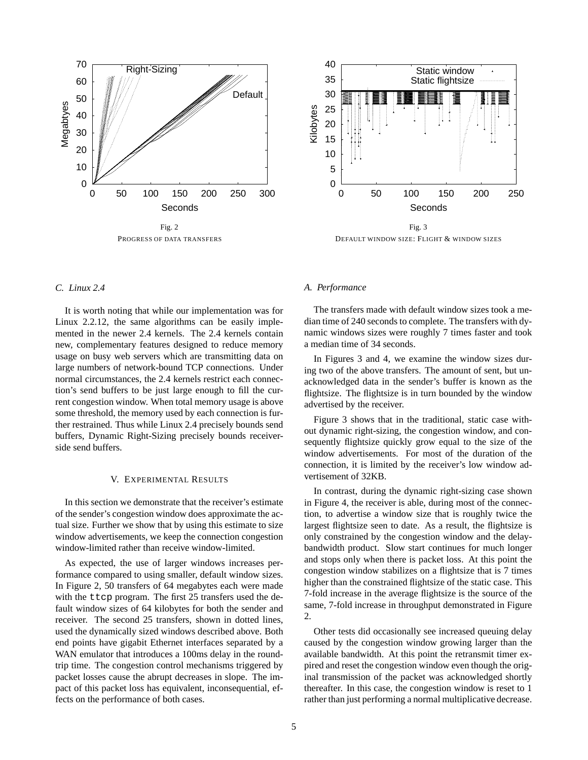

PROGRESS OF DATA TRANSFERS



Fig. 3 DEFAULT WINDOW SIZE: FLIGHT & WINDOW SIZES

# *C. Linux 2.4*

It is worth noting that while our implementation was for Linux 2.2.12, the same algorithms can be easily implemented in the newer 2.4 kernels. The 2.4 kernels contain new, complementary features designed to reduce memory usage on busy web servers which are transmitting data on large numbers of network-bound TCP connections. Under normal circumstances, the 2.4 kernels restrict each connection's send buffers to be just large enough to fill the current congestion window. When total memory usage is above some threshold, the memory used by each connection is further restrained. Thus while Linux 2.4 precisely bounds send buffers, Dynamic Right-Sizing precisely bounds receiverside send buffers.

## V. EXPERIMENTAL RESULTS

In this section we demonstrate that the receiver's estimate of the sender's congestion window does approximate the actual size. Further we show that by using this estimate to size window advertisements, we keep the connection congestion window-limited rather than receive window-limited.

As expected, the use of larger windows increases performance compared to using smaller, default window sizes. In Figure 2, 50 transfers of 64 megabytes each were made with the ttcp program. The first 25 transfers used the default window sizes of 64 kilobytes for both the sender and receiver. The second 25 transfers, shown in dotted lines, used the dynamically sized windows described above. Both end points have gigabit Ethernet interfaces separated by a WAN emulator that introduces a 100ms delay in the roundtrip time. The congestion control mechanisms triggered by packet losses cause the abrupt decreases in slope. The impact of this packet loss has equivalent, inconsequential, effects on the performance of both cases.

## *A. Performance*

The transfers made with default window sizes took a median time of 240 seconds to complete. The transfers with dynamic windows sizes were roughly 7 times faster and took a median time of 34 seconds.

In Figures 3 and 4, we examine the window sizes during two of the above transfers. The amount of sent, but unacknowledged data in the sender's buffer is known as the flightsize. The flightsize is in turn bounded by the window advertised by the receiver.

Figure 3 shows that in the traditional, static case without dynamic right-sizing, the congestion window, and consequently flightsize quickly grow equal to the size of the window advertisements. For most of the duration of the connection, it is limited by the receiver's low window advertisement of 32KB.

In contrast, during the dynamic right-sizing case shown in Figure 4, the receiver is able, during most of the connection, to advertise a window size that is roughly twice the largest flightsize seen to date. As a result, the flightsize is only constrained by the congestion window and the delaybandwidth product. Slow start continues for much longer and stops only when there is packet loss. At this point the congestion window stabilizes on a flightsize that is 7 times higher than the constrained flightsize of the static case. This 7-fold increase in the average flightsize is the source of the same, 7-fold increase in throughput demonstrated in Figure 2.

Other tests did occasionally see increased queuing delay caused by the congestion window growing larger than the available bandwidth. At this point the retransmit timer expired and reset the congestion window even though the original transmission of the packet was acknowledged shortly thereafter. In this case, the congestion window is reset to 1 rather than just performing a normal multiplicative decrease.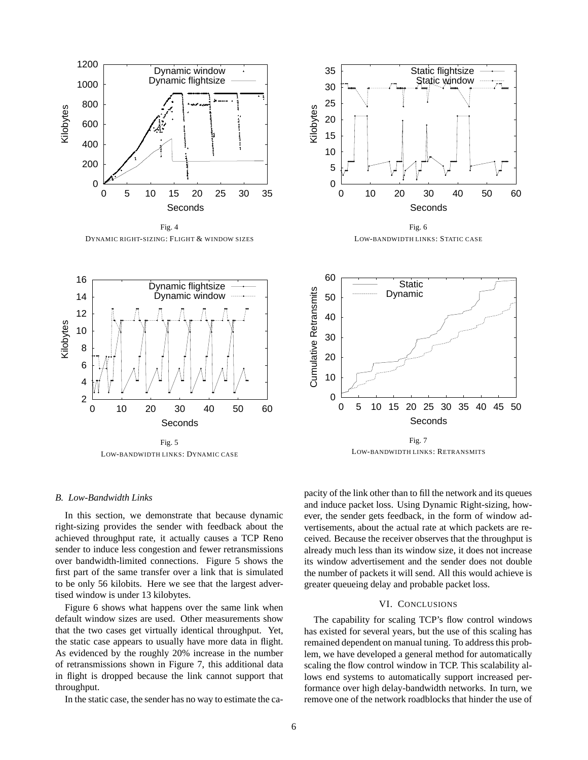

Fig. 4 DYNAMIC RIGHT-SIZING: FLIGHT & WINDOW SIZES



Fig. 6 LOW-BANDWIDTH LINKS: STATIC CASE



LOW-BANDWIDTH LINKS: DYNAMIC CASE



LOW-BANDWIDTH LINKS: RETRANSMITS

## *B. Low-Bandwidth Links*

In this section, we demonstrate that because dynamic right-sizing provides the sender with feedback about the achieved throughput rate, it actually causes a TCP Reno sender to induce less congestion and fewer retransmissions over bandwidth-limited connections. Figure 5 shows the first part of the same transfer over a link that is simulated to be only 56 kilobits. Here we see that the largest advertised window is under 13 kilobytes.

Figure 6 shows what happens over the same link when default window sizes are used. Other measurements show that the two cases get virtually identical throughput. Yet, the static case appears to usually have more data in flight. As evidenced by the roughly 20% increase in the number of retransmissions shown in Figure 7, this additional data in flight is dropped because the link cannot support that throughput.

In the static case, the sender has no way to estimate the ca-

pacity of the link other than to fill the network and its queues and induce packet loss. Using Dynamic Right-sizing, however, the sender gets feedback, in the form of window advertisements, about the actual rate at which packets are received. Because the receiver observes that the throughput is already much less than its window size, it does not increase its window advertisement and the sender does not double the number of packets it will send. All this would achieve is greater queueing delay and probable packet loss.

## VI. CONCLUSIONS

The capability for scaling TCP's flow control windows has existed for several years, but the use of this scaling has remained dependent on manual tuning. To address this problem, we have developed a general method for automatically scaling the flow control window in TCP. This scalability allows end systems to automatically support increased performance over high delay-bandwidth networks. In turn, we remove one of the network roadblocks that hinder the use of